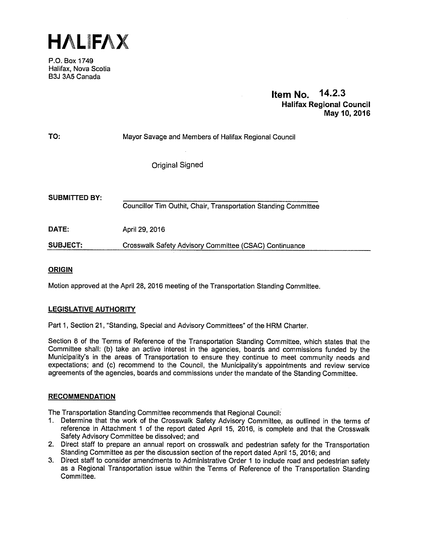HAliFAX

P.O. Box 1749 Halifax, Nova Scotia B3J 3A5 Canada

# Item No. 14.2.3 Halifax Regional Council May 10, 2016

| Mayor Savage and Members of Halifax Regional Council |
|------------------------------------------------------|
|                                                      |

Original Signed

| <b>SUBMITTED BY:</b> | Councillor Tim Outhit, Chair, Transportation Standing Committee |
|----------------------|-----------------------------------------------------------------|
| DATE:                | April 29, 2016                                                  |
| <b>SUBJECT:</b>      | Crosswalk Safety Advisory Committee (CSAC) Continuance          |

### ORIGIN

Motion approved at the April 28, 2016 meeting of the Transportation Standing Committee.

### LEGISLATIVE AUTHORITY

Part 1, Section 21 "Standing, Special and Advisory Committees" of the HRM Charter.

Section 8 of the Terms of Reference of the Transportation Standing Committee, which states that the Committee shall: (b) take an active interest in the agencies, boards and commissions funded by the Municipality's in the areas of Transportation to ensure they continue to meet community needs and expectations; and (c) recommend to the Council, the Municipality's appointments and review service agreements of the agencies, boards and commissions under the mandate of the Standing Committee.

### RECOMMENDATION

The Transportation Standing Committee recommends that Regional Council:

- 1. Determine that the work of the Crosswalk Safety Advisory Committee, as outlined in the terms of reference in Attachment <sup>1</sup> of the report dated April 15, 2016, is complete and that the Crosswalk Safety Advisory Committee be dissolved; and
- 2. Direct staff to prepare an annual report on crosswalk and pedestrian safety for the Transportation Standing Committee as per the discussion section of the report dated April 15, 2016; and
- 3. Direct staff to consider amendments to Administrative Order <sup>1</sup> to include road and pedestrian safety as a Regional Transportation issue within the Terms of Reference of the Transportation Standing Committee.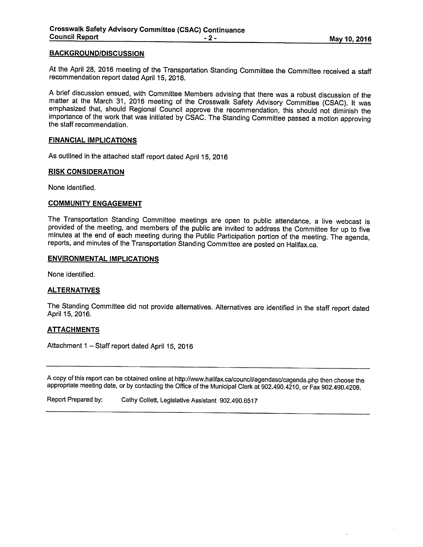#### **BACKGROUND/DISCUSSION**

At the April 28, <sup>2016</sup> meeting of the Transportation Standing Committee the Committee received <sup>a</sup> staff recommendation report dated April 15, 2016.

<sup>A</sup> brief discussion ensued, with Committee Members advising that there was <sup>a</sup> robust discussion of the matter at the March 31, <sup>2016</sup> meeting of the Crosswalk Safety Advisory Committee (CSAC). It was emphasized that, should Regional Council approve the recommendation, this should not diminish the importance of the work that was initiated by CSAC. The Standing Committee passed <sup>a</sup> motion approving the staff recommendation.

#### FINANCIAL IMPLICATIONS

As outlined in the attached staff report dated April 15, <sup>2016</sup>

#### RISK CONSIDERATION

None identified.

### COMMUNITY ENGAGEMENT

The Transportation Standing Committee meetings are open to public attendance, <sup>a</sup> live webcast is provided of the meeting, and members of the public are invited to address the Committee for up to five minutes at the end of each meeting during the Public Participation portion of the meeting. The agenda, reports, and minutes of the Transportation Standing Committee are posted on Halifax.ca.

### ENVIRONMENTAL IMPLICATIONS

None identified.

#### **ALTERNATIVES**

The Standing Committee did not provide alternatives. Alternatives are identified in the staff report dated April 15, 2016.

### **ATTACHMENTS**

Attachment 1 - Staff report dated April 15, 2016

A copy of this report can be obtained online at http://www.halifax.ca/council/agendasc/cagenda.php then choose the appropriate meeting date, or by contacting the Office of the Municipal Clerk at 902.490.4210, or Fax 902.490.4208.

Report Prepared by: Cathy Collett, Legislative Assistant 902.490.6517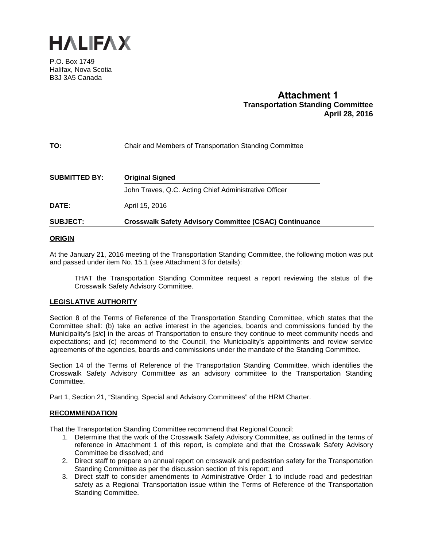

P.O. Box 1749 Halifax, Nova Scotia B3J 3A5 Canada

# **Attachment 1 Transportation Standing Committee April 28, 2016**

### **TO:** Chair and Members of Transportation Standing Committee

| <b>SUBMITTED BY:</b> | <b>Original Signed</b>                                        |
|----------------------|---------------------------------------------------------------|
|                      | John Traves, Q.C. Acting Chief Administrative Officer         |
| <b>DATE:</b>         | April 15, 2016                                                |
| <b>SUBJECT:</b>      | <b>Crosswalk Safety Advisory Committee (CSAC) Continuance</b> |

#### **ORIGIN**

At the January 21, 2016 meeting of the Transportation Standing Committee, the following motion was put and passed under item No. 15.1 (see Attachment 3 for details):

THAT the Transportation Standing Committee request a report reviewing the status of the Crosswalk Safety Advisory Committee.

### **LEGISLATIVE AUTHORITY**

Section 8 of the Terms of Reference of the Transportation Standing Committee, which states that the Committee shall: (b) take an active interest in the agencies, boards and commissions funded by the Municipality's [*sic*] in the areas of Transportation to ensure they continue to meet community needs and expectations; and (c) recommend to the Council, the Municipality's appointments and review service agreements of the agencies, boards and commissions under the mandate of the Standing Committee.

Section 14 of the Terms of Reference of the Transportation Standing Committee, which identifies the Crosswalk Safety Advisory Committee as an advisory committee to the Transportation Standing Committee.

Part 1, Section 21, "Standing, Special and Advisory Committees" of the HRM Charter.

### **RECOMMENDATION**

That the Transportation Standing Committee recommend that Regional Council:

- 1. Determine that the work of the Crosswalk Safety Advisory Committee, as outlined in the terms of reference in Attachment 1 of this report, is complete and that the Crosswalk Safety Advisory Committee be dissolved; and
- 2. Direct staff to prepare an annual report on crosswalk and pedestrian safety for the Transportation Standing Committee as per the discussion section of this report; and
- 3. Direct staff to consider amendments to Administrative Order 1 to include road and pedestrian safety as a Regional Transportation issue within the Terms of Reference of the Transportation Standing Committee.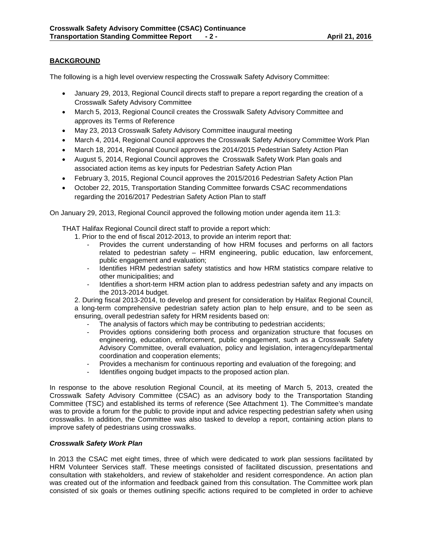### **BACKGROUND**

The following is a high level overview respecting the Crosswalk Safety Advisory Committee:

- January 29, 2013, Regional Council directs staff to prepare a report regarding the creation of a Crosswalk Safety Advisory Committee
- March 5, 2013, Regional Council creates the Crosswalk Safety Advisory Committee and approves its Terms of Reference
- May 23, 2013 Crosswalk Safety Advisory Committee inaugural meeting
- March 4, 2014, Regional Council approves the Crosswalk Safety Advisory Committee Work Plan
- March 18, 2014, Regional Council approves the 2014/2015 Pedestrian Safety Action Plan
- August 5, 2014, Regional Council approves the Crosswalk Safety Work Plan goals and associated action items as key inputs for Pedestrian Safety Action Plan
- February 3, 2015, Regional Council approves the 2015/2016 Pedestrian Safety Action Plan
- October 22, 2015, Transportation Standing Committee forwards CSAC recommendations regarding the 2016/2017 Pedestrian Safety Action Plan to staff

On January 29, 2013, Regional Council approved the following motion under agenda item 11.3:

THAT Halifax Regional Council direct staff to provide a report which:

- 1. Prior to the end of fiscal 2012-2013, to provide an interim report that:
	- Provides the current understanding of how HRM focuses and performs on all factors related to pedestrian safety – HRM engineering, public education, law enforcement, public engagement and evaluation;
	- Identifies HRM pedestrian safety statistics and how HRM statistics compare relative to other municipalities; and
	- Identifies a short-term HRM action plan to address pedestrian safety and any impacts on the 2013-2014 budget.

2. During fiscal 2013-2014, to develop and present for consideration by Halifax Regional Council, a long-term comprehensive pedestrian safety action plan to help ensure, and to be seen as ensuring, overall pedestrian safety for HRM residents based on:

- The analysis of factors which may be contributing to pedestrian accidents;
- Provides options considering both process and organization structure that focuses on engineering, education, enforcement, public engagement, such as a Crosswalk Safety Advisory Committee, overall evaluation, policy and legislation, interagency/departmental coordination and cooperation elements;
- Provides a mechanism for continuous reporting and evaluation of the foregoing; and
- Identifies ongoing budget impacts to the proposed action plan.

In response to the above resolution Regional Council, at its meeting of March 5, 2013, created the Crosswalk Safety Advisory Committee (CSAC) as an advisory body to the Transportation Standing Committee (TSC) and established its terms of reference (See Attachment 1). The Committee's mandate was to provide a forum for the public to provide input and advice respecting pedestrian safety when using crosswalks. In addition, the Committee was also tasked to develop a report, containing action plans to improve safety of pedestrians using crosswalks.

### *Crosswalk Safety Work Plan*

In 2013 the CSAC met eight times, three of which were dedicated to work plan sessions facilitated by HRM Volunteer Services staff. These meetings consisted of facilitated discussion, presentations and consultation with stakeholders, and review of stakeholder and resident correspondence. An action plan was created out of the information and feedback gained from this consultation. The Committee work plan consisted of six goals or themes outlining specific actions required to be completed in order to achieve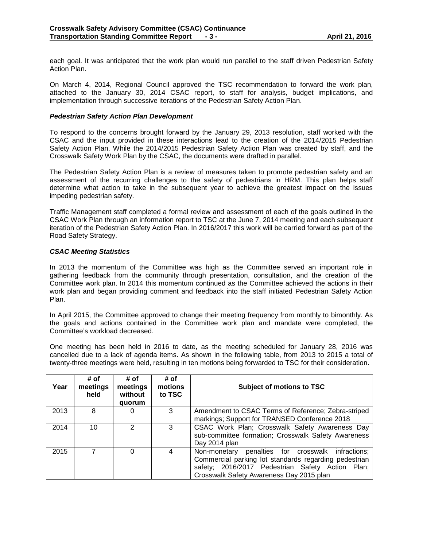each goal. It was anticipated that the work plan would run parallel to the staff driven Pedestrian Safety Action Plan.

On March 4, 2014, Regional Council approved the TSC recommendation to forward the work plan, attached to the January 30, 2014 CSAC report, to staff for analysis, budget implications, and implementation through successive iterations of the Pedestrian Safety Action Plan.

#### *Pedestrian Safety Action Plan Development*

To respond to the concerns brought forward by the January 29, 2013 resolution, staff worked with the CSAC and the input provided in these interactions lead to the creation of the 2014/2015 Pedestrian Safety Action Plan. While the 2014/2015 Pedestrian Safety Action Plan was created by staff, and the Crosswalk Safety Work Plan by the CSAC, the documents were drafted in parallel.

The Pedestrian Safety Action Plan is a review of measures taken to promote pedestrian safety and an assessment of the recurring challenges to the safety of pedestrians in HRM. This plan helps staff determine what action to take in the subsequent year to achieve the greatest impact on the issues impeding pedestrian safety.

Traffic Management staff completed a formal review and assessment of each of the goals outlined in the CSAC Work Plan through an information report to TSC at the June 7, 2014 meeting and each subsequent iteration of the Pedestrian Safety Action Plan. In 2016/2017 this work will be carried forward as part of the Road Safety Strategy.

#### *CSAC Meeting Statistics*

In 2013 the momentum of the Committee was high as the Committee served an important role in gathering feedback from the community through presentation, consultation, and the creation of the Committee work plan. In 2014 this momentum continued as the Committee achieved the actions in their work plan and began providing comment and feedback into the staff initiated Pedestrian Safety Action Plan.

In April 2015, the Committee approved to change their meeting frequency from monthly to bimonthly. As the goals and actions contained in the Committee work plan and mandate were completed, the Committee's workload decreased.

One meeting has been held in 2016 to date, as the meeting scheduled for January 28, 2016 was cancelled due to a lack of agenda items. As shown in the following table, from 2013 to 2015 a total of twenty-three meetings were held, resulting in ten motions being forwarded to TSC for their consideration.

| Year | # of<br>meetings<br>held | # of<br>meetings<br>without<br>quorum | # of<br>motions<br>to TSC | Subject of motions to TSC                                                                                                                                                                                           |  |  |  |
|------|--------------------------|---------------------------------------|---------------------------|---------------------------------------------------------------------------------------------------------------------------------------------------------------------------------------------------------------------|--|--|--|
| 2013 | 8                        | $\Omega$                              | 3                         | Amendment to CSAC Terms of Reference; Zebra-striped<br>markings; Support for TRANSED Conference 2018                                                                                                                |  |  |  |
| 2014 | 10                       | 2                                     | 3                         | CSAC Work Plan; Crosswalk Safety Awareness Day<br>sub-committee formation; Crosswalk Safety Awareness<br>Day 2014 plan                                                                                              |  |  |  |
| 2015 |                          | 0                                     | 4                         | penalties for crosswalk<br>Non-monetary<br>infractions;<br>Commercial parking lot standards regarding pedestrian<br>safety; 2016/2017 Pedestrian Safety Action<br>Plan:<br>Crosswalk Safety Awareness Day 2015 plan |  |  |  |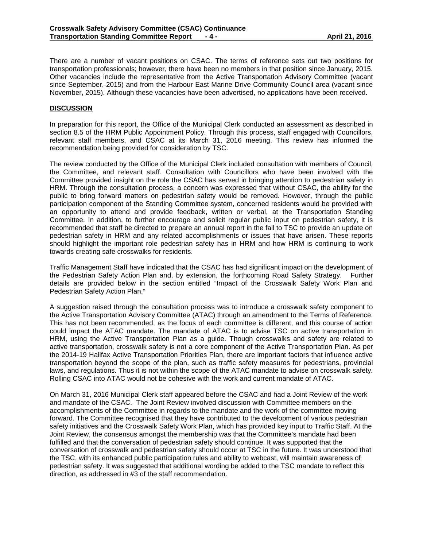There are a number of vacant positions on CSAC. The terms of reference sets out two positions for transportation professionals; however, there have been no members in that position since January, 2015. Other vacancies include the representative from the Active Transportation Advisory Committee (vacant since September, 2015) and from the Harbour East Marine Drive Community Council area (vacant since November, 2015). Although these vacancies have been advertised, no applications have been received.

### **DISCUSSION**

In preparation for this report, the Office of the Municipal Clerk conducted an assessment as described in section 8.5 of the HRM Public Appointment Policy. Through this process, staff engaged with Councillors, relevant staff members, and CSAC at its March 31, 2016 meeting. This review has informed the recommendation being provided for consideration by TSC.

The review conducted by the Office of the Municipal Clerk included consultation with members of Council, the Committee, and relevant staff. Consultation with Councillors who have been involved with the Committee provided insight on the role the CSAC has served in bringing attention to pedestrian safety in HRM. Through the consultation process, a concern was expressed that without CSAC, the ability for the public to bring forward matters on pedestrian safety would be removed. However, through the public participation component of the Standing Committee system, concerned residents would be provided with an opportunity to attend and provide feedback, written or verbal, at the Transportation Standing Committee. In addition, to further encourage and solicit regular public input on pedestrian safety, it is recommended that staff be directed to prepare an annual report in the fall to TSC to provide an update on pedestrian safety in HRM and any related accomplishments or issues that have arisen. These reports should highlight the important role pedestrian safety has in HRM and how HRM is continuing to work towards creating safe crosswalks for residents.

Traffic Management Staff have indicated that the CSAC has had significant impact on the development of the Pedestrian Safety Action Plan and, by extension, the forthcoming Road Safety Strategy. Further details are provided below in the section entitled "Impact of the Crosswalk Safety Work Plan and Pedestrian Safety Action Plan."

A suggestion raised through the consultation process was to introduce a crosswalk safety component to the Active Transportation Advisory Committee (ATAC) through an amendment to the Terms of Reference. This has not been recommended, as the focus of each committee is different, and this course of action could impact the ATAC mandate. The mandate of ATAC is to advise TSC on active transportation in HRM, using the Active Transportation Plan as a guide. Though crosswalks and safety are related to active transportation, crosswalk safety is not a core component of the Active Transportation Plan. As per the 2014-19 Halifax Active Transportation Priorities Plan, there are important factors that influence active transportation beyond the scope of the plan, such as traffic safety measures for pedestrians, provincial laws, and regulations. Thus it is not within the scope of the ATAC mandate to advise on crosswalk safety. Rolling CSAC into ATAC would not be cohesive with the work and current mandate of ATAC.

On March 31, 2016 Municipal Clerk staff appeared before the CSAC and had a Joint Review of the work and mandate of the CSAC. The Joint Review involved discussion with Committee members on the accomplishments of the Committee in regards to the mandate and the work of the committee moving forward. The Committee recognised that they have contributed to the development of various pedestrian safety initiatives and the Crosswalk Safety Work Plan, which has provided key input to Traffic Staff. At the Joint Review, the consensus amongst the membership was that the Committee's mandate had been fulfilled and that the conversation of pedestrian safety should continue. It was supported that the conversation of crosswalk and pedestrian safety should occur at TSC in the future. It was understood that the TSC, with its enhanced public participation rules and ability to webcast, will maintain awareness of pedestrian safety. It was suggested that additional wording be added to the TSC mandate to reflect this direction, as addressed in #3 of the staff recommendation.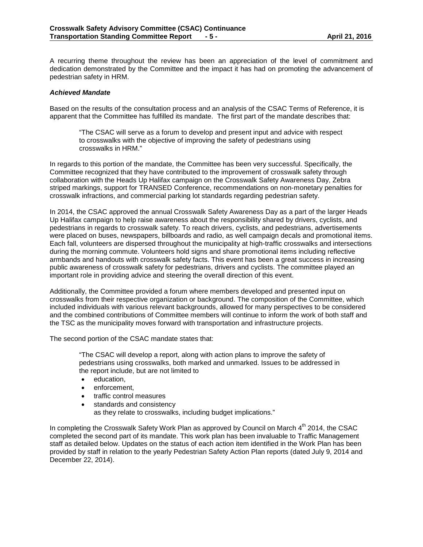A recurring theme throughout the review has been an appreciation of the level of commitment and dedication demonstrated by the Committee and the impact it has had on promoting the advancement of pedestrian safety in HRM.

### *Achieved Mandate*

Based on the results of the consultation process and an analysis of the CSAC Terms of Reference, it is apparent that the Committee has fulfilled its mandate. The first part of the mandate describes that:

"The CSAC will serve as a forum to develop and present input and advice with respect to crosswalks with the objective of improving the safety of pedestrians using crosswalks in HRM."

In regards to this portion of the mandate, the Committee has been very successful. Specifically, the Committee recognized that they have contributed to the improvement of crosswalk safety through collaboration with the Heads Up Halifax campaign on the Crosswalk Safety Awareness Day, Zebra striped markings, support for TRANSED Conference, recommendations on non-monetary penalties for crosswalk infractions, and commercial parking lot standards regarding pedestrian safety.

In 2014, the CSAC approved the annual Crosswalk Safety Awareness Day as a part of the larger Heads Up Halifax campaign to help raise awareness about the responsibility shared by drivers, cyclists, and pedestrians in regards to crosswalk safety. To reach drivers, cyclists, and pedestrians, advertisements were placed on buses, newspapers, billboards and radio, as well campaign decals and promotional items. Each fall, volunteers are dispersed throughout the municipality at high-traffic crosswalks and intersections during the morning commute. Volunteers hold signs and share promotional items including reflective armbands and handouts with crosswalk safety facts. This event has been a great success in increasing public awareness of crosswalk safety for pedestrians, drivers and cyclists. The committee played an important role in providing advice and steering the overall direction of this event.

Additionally, the Committee provided a forum where members developed and presented input on crosswalks from their respective organization or background. The composition of the Committee, which included individuals with various relevant backgrounds, allowed for many perspectives to be considered and the combined contributions of Committee members will continue to inform the work of both staff and the TSC as the municipality moves forward with transportation and infrastructure projects.

The second portion of the CSAC mandate states that:

"The CSAC will develop a report, along with action plans to improve the safety of pedestrians using crosswalks, both marked and unmarked. Issues to be addressed in the report include, but are not limited to

- education,
- enforcement,
- traffic control measures
- standards and consistency

as they relate to crosswalks, including budget implications."

In completing the Crosswalk Safety Work Plan as approved by Council on March 4<sup>th</sup> 2014, the CSAC completed the second part of its mandate. This work plan has been invaluable to Traffic Management staff as detailed below. Updates on the status of each action item identified in the Work Plan has been provided by staff in relation to the yearly Pedestrian Safety Action Plan reports (dated July 9, 2014 and December 22, 2014).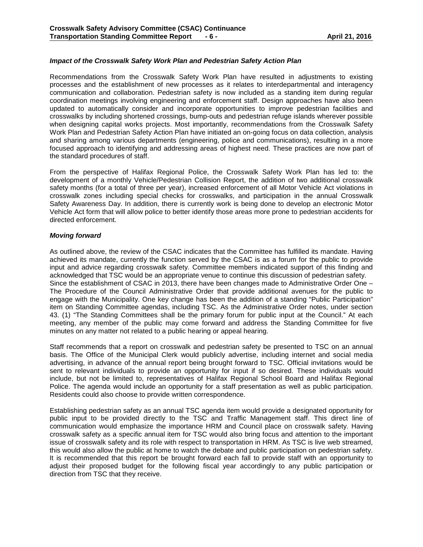### *Impact of the Crosswalk Safety Work Plan and Pedestrian Safety Action Plan*

Recommendations from the Crosswalk Safety Work Plan have resulted in adjustments to existing processes and the establishment of new processes as it relates to interdepartmental and interagency communication and collaboration. Pedestrian safety is now included as a standing item during regular coordination meetings involving engineering and enforcement staff. Design approaches have also been updated to automatically consider and incorporate opportunities to improve pedestrian facilities and crosswalks by including shortened crossings, bump-outs and pedestrian refuge islands wherever possible when designing capital works projects. Most importantly, recommendations from the Crosswalk Safety Work Plan and Pedestrian Safety Action Plan have initiated an on-going focus on data collection, analysis and sharing among various departments (engineering, police and communications), resulting in a more focused approach to identifying and addressing areas of highest need. These practices are now part of the standard procedures of staff.

From the perspective of Halifax Regional Police, the Crosswalk Safety Work Plan has led to: the development of a monthly Vehicle/Pedestrian Collision Report, the addition of two additional crosswalk safety months (for a total of three per year), increased enforcement of all Motor Vehicle Act violations in crosswalk zones including special checks for crosswalks, and participation in the annual Crosswalk Safety Awareness Day. In addition, there is currently work is being done to develop an electronic Motor Vehicle Act form that will allow police to better identify those areas more prone to pedestrian accidents for directed enforcement.

### *Moving forward*

As outlined above, the review of the CSAC indicates that the Committee has fulfilled its mandate. Having achieved its mandate, currently the function served by the CSAC is as a forum for the public to provide input and advice regarding crosswalk safety. Committee members indicated support of this finding and acknowledged that TSC would be an appropriate venue to continue this discussion of pedestrian safety. Since the establishment of CSAC in 2013, there have been changes made to Administrative Order One – The Procedure of the Council Administrative Order that provide additional avenues for the public to engage with the Municipality. One key change has been the addition of a standing "Public Participation" item on Standing Committee agendas, including TSC. As the Administrative Order notes, under section 43. (1) "The Standing Committees shall be the primary forum for public input at the Council." At each meeting, any member of the public may come forward and address the Standing Committee for five minutes on any matter not related to a public hearing or appeal hearing.

Staff recommends that a report on crosswalk and pedestrian safety be presented to TSC on an annual basis. The Office of the Municipal Clerk would publicly advertise, including internet and social media advertising, in advance of the annual report being brought forward to TSC. Official invitations would be sent to relevant individuals to provide an opportunity for input if so desired. These individuals would include, but not be limited to, representatives of Halifax Regional School Board and Halifax Regional Police. The agenda would include an opportunity for a staff presentation as well as public participation. Residents could also choose to provide written correspondence.

Establishing pedestrian safety as an annual TSC agenda item would provide a designated opportunity for public input to be provided directly to the TSC and Traffic Management staff. This direct line of communication would emphasize the importance HRM and Council place on crosswalk safety. Having crosswalk safety as a specific annual item for TSC would also bring focus and attention to the important issue of crosswalk safety and its role with respect to transportation in HRM. As TSC is live web streamed, this would also allow the public at home to watch the debate and public participation on pedestrian safety. It is recommended that this report be brought forward each fall to provide staff with an opportunity to adjust their proposed budget for the following fiscal year accordingly to any public participation or direction from TSC that they receive.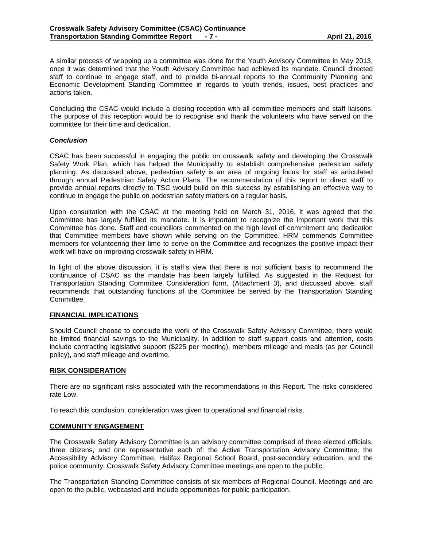A similar process of wrapping up a committee was done for the Youth Advisory Committee in May 2013, once it was determined that the Youth Advisory Committee had achieved its mandate. Council directed staff to continue to engage staff, and to provide bi-annual reports to the Community Planning and Economic Development Standing Committee in regards to youth trends, issues, best practices and actions taken.

Concluding the CSAC would include a closing reception with all committee members and staff liaisons. The purpose of this reception would be to recognise and thank the volunteers who have served on the committee for their time and dedication.

#### *Conclusion*

CSAC has been successful in engaging the public on crosswalk safety and developing the Crosswalk Safety Work Plan, which has helped the Municipality to establish comprehensive pedestrian safety planning. As discussed above, pedestrian safety is an area of ongoing focus for staff as articulated through annual Pedestrian Safety Action Plans. The recommendation of this report to direct staff to provide annual reports directly to TSC would build on this success by establishing an effective way to continue to engage the public on pedestrian safety matters on a regular basis.

Upon consultation with the CSAC at the meeting held on March 31, 2016, it was agreed that the Committee has largely fulfilled its mandate. It is important to recognize the important work that this Committee has done. Staff and councillors commented on the high level of commitment and dedication that Committee members have shown while serving on the Committee. HRM commends Committee members for volunteering their time to serve on the Committee and recognizes the positive impact their work will have on improving crosswalk safety in HRM.

In light of the above discussion, it is staff's view that there is not sufficient basis to recommend the continuance of CSAC as the mandate has been largely fulfilled. As suggested in the Request for Transportation Standing Committee Consideration form, (Attachment 3), and discussed above, staff recommends that outstanding functions of the Committee be served by the Transportation Standing Committee.

### **FINANCIAL IMPLICATIONS**

Should Council choose to conclude the work of the Crosswalk Safety Advisory Committee, there would be limited financial savings to the Municipality. In addition to staff support costs and attention, costs include contracting legislative support (\$225 per meeting), members mileage and meals (as per Council policy), and staff mileage and overtime.

#### **RISK CONSIDERATION**

There are no significant risks associated with the recommendations in this Report. The risks considered rate Low.

To reach this conclusion, consideration was given to operational and financial risks.

### **COMMUNITY ENGAGEMENT**

The Crosswalk Safety Advisory Committee is an advisory committee comprised of three elected officials, three citizens, and one representative each of: the Active Transportation Advisory Committee, the Accessibility Advisory Committee, Halifax Regional School Board, post-secondary education, and the police community. Crosswalk Safety Advisory Committee meetings are open to the public.

The Transportation Standing Committee consists of six members of Regional Council. Meetings and are open to the public, webcasted and include opportunities for public participation.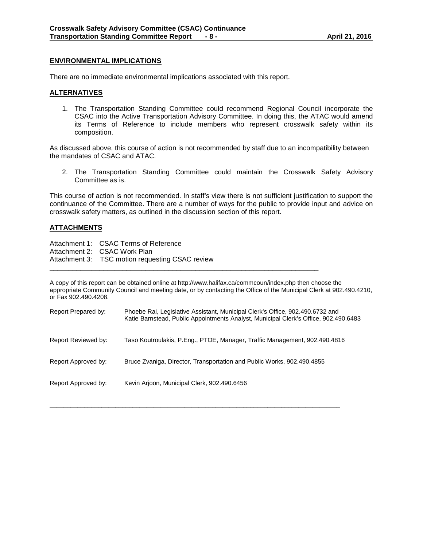### **ENVIRONMENTAL IMPLICATIONS**

There are no immediate environmental implications associated with this report.

### **ALTERNATIVES**

1. The Transportation Standing Committee could recommend Regional Council incorporate the CSAC into the Active Transportation Advisory Committee. In doing this, the ATAC would amend its Terms of Reference to include members who represent crosswalk safety within its composition.

As discussed above, this course of action is not recommended by staff due to an incompatibility between the mandates of CSAC and ATAC.

2. The Transportation Standing Committee could maintain the Crosswalk Safety Advisory Committee as is.

This course of action is not recommended. In staff's view there is not sufficient justification to support the continuance of the Committee. There are a number of ways for the public to provide input and advice on crosswalk safety matters, as outlined in the discussion section of this report.

### **ATTACHMENTS**

| Attachment 1: CSAC Terms of Reference           |
|-------------------------------------------------|
| Attachment 2: CSAC Work Plan                    |
| Attachment 3: TSC motion requesting CSAC review |

A copy of this report can be obtained online at http://www.halifax.ca/commcoun/index.php then choose the appropriate Community Council and meeting date, or by contacting the Office of the Municipal Clerk at 902.490.4210, or Fax 902.490.4208.

\_\_\_\_\_\_\_\_\_\_\_\_\_\_\_\_\_\_\_\_\_\_\_\_\_\_\_\_\_\_\_\_\_\_\_\_\_\_\_\_\_\_\_\_\_\_\_\_\_\_\_\_\_\_\_\_\_\_\_\_\_\_\_\_\_\_\_\_\_\_

| Report Prepared by: | Phoebe Rai, Legislative Assistant, Municipal Clerk's Office, 902.490.6732 and<br>Katie Barnstead, Public Appointments Analyst, Municipal Clerk's Office, 902.490.6483 |
|---------------------|-----------------------------------------------------------------------------------------------------------------------------------------------------------------------|
| Report Reviewed by: | Taso Koutroulakis, P.Eng., PTOE, Manager, Traffic Management, 902.490.4816                                                                                            |
| Report Approved by: | Bruce Zvaniga, Director, Transportation and Public Works, 902.490.4855                                                                                                |
| Report Approved by: | Kevin Arjoon, Municipal Clerk, 902.490.6456                                                                                                                           |

 $\overline{\phantom{a}}$  , and the contribution of the contribution of the contribution of the contribution of the contribution of the contribution of the contribution of the contribution of the contribution of the contribution of the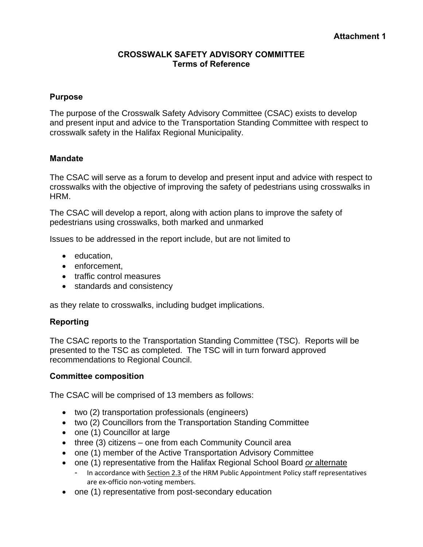### **CROSSWALK SAFETY ADVISORY COMMITTEE Terms of Reference**

### **Purpose**

The purpose of the Crosswalk Safety Advisory Committee (CSAC) exists to develop and present input and advice to the Transportation Standing Committee with respect to crosswalk safety in the Halifax Regional Municipality.

### **Mandate**

The CSAC will serve as a forum to develop and present input and advice with respect to crosswalks with the objective of improving the safety of pedestrians using crosswalks in HRM.

The CSAC will develop a report, along with action plans to improve the safety of pedestrians using crosswalks, both marked and unmarked

Issues to be addressed in the report include, but are not limited to

- education,
- enforcement,
- traffic control measures
- standards and consistency

as they relate to crosswalks, including budget implications.

### **Reporting**

The CSAC reports to the Transportation Standing Committee (TSC). Reports will be presented to the TSC as completed. The TSC will in turn forward approved recommendations to Regional Council.

### **Committee composition**

The CSAC will be comprised of 13 members as follows:

- two (2) transportation professionals (engineers)
- two (2) Councillors from the Transportation Standing Committee
- one (1) Councillor at large
- three (3) citizens one from each Community Council area
- one (1) member of the Active Transportation Advisory Committee
- one (1) representative from the Halifax Regional School Board *or* alternate
	- In accordance with Section 2.3 of the HRM Public Appointment Policy staff representatives are ex‐officio non‐voting members.
- one (1) representative from post-secondary education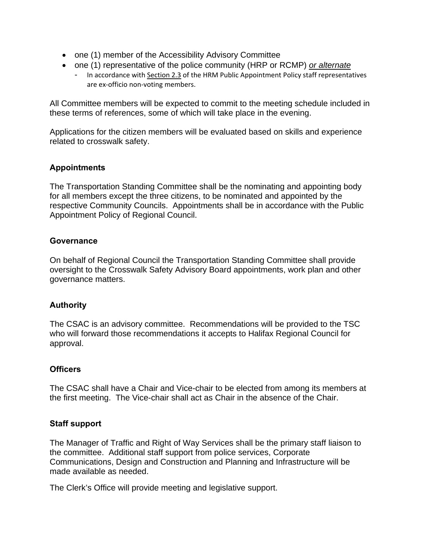- one (1) member of the Accessibility Advisory Committee
- one (1) representative of the police community (HRP or RCMP) *or alternate* 
	- In accordance with Section 2.3 of the HRM Public Appointment Policy staff representatives are ex‐officio non‐voting members.

All Committee members will be expected to commit to the meeting schedule included in these terms of references, some of which will take place in the evening.

Applications for the citizen members will be evaluated based on skills and experience related to crosswalk safety.

# **Appointments**

The Transportation Standing Committee shall be the nominating and appointing body for all members except the three citizens, to be nominated and appointed by the respective Community Councils. Appointments shall be in accordance with the Public Appointment Policy of Regional Council.

# **Governance**

On behalf of Regional Council the Transportation Standing Committee shall provide oversight to the Crosswalk Safety Advisory Board appointments, work plan and other governance matters.

# **Authority**

The CSAC is an advisory committee. Recommendations will be provided to the TSC who will forward those recommendations it accepts to Halifax Regional Council for approval.

# **Officers**

The CSAC shall have a Chair and Vice-chair to be elected from among its members at the first meeting. The Vice-chair shall act as Chair in the absence of the Chair.

# **Staff support**

The Manager of Traffic and Right of Way Services shall be the primary staff liaison to the committee. Additional staff support from police services, Corporate Communications, Design and Construction and Planning and Infrastructure will be made available as needed.

The Clerk's Office will provide meeting and legislative support.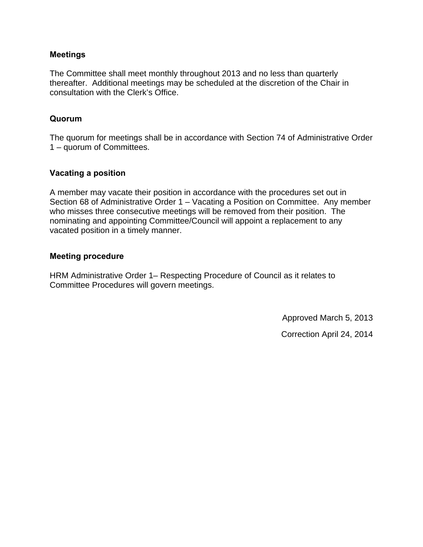### **Meetings**

The Committee shall meet monthly throughout 2013 and no less than quarterly thereafter. Additional meetings may be scheduled at the discretion of the Chair in consultation with the Clerk's Office.

# **Quorum**

The quorum for meetings shall be in accordance with Section 74 of Administrative Order 1 – quorum of Committees.

# **Vacating a position**

A member may vacate their position in accordance with the procedures set out in Section 68 of Administrative Order 1 – Vacating a Position on Committee. Any member who misses three consecutive meetings will be removed from their position. The nominating and appointing Committee/Council will appoint a replacement to any vacated position in a timely manner.

### **Meeting procedure**

HRM Administrative Order 1– Respecting Procedure of Council as it relates to Committee Procedures will govern meetings.

Approved March 5, 2013

Correction April 24, 2014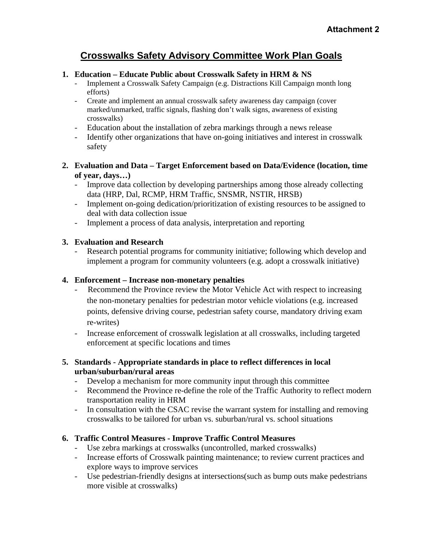# **Crosswalks Safety Advisory Committee Work Plan Goals**

## **1. Education – Educate Public about Crosswalk Safety in HRM & NS**

- Implement a Crosswalk Safety Campaign (e.g. Distractions Kill Campaign month long efforts)
- Create and implement an annual crosswalk safety awareness day campaign (cover marked/unmarked, traffic signals, flashing don't walk signs, awareness of existing crosswalks)
- Education about the installation of zebra markings through a news release
- Identify other organizations that have on-going initiatives and interest in crosswalk safety

## **2. Evaluation and Data – Target Enforcement based on Data/Evidence (location, time of year, days…)**

- Improve data collection by developing partnerships among those already collecting data (HRP, Dal, RCMP, HRM Traffic, SNSMR, NSTIR, HRSB)
- Implement on-going dedication/prioritization of existing resources to be assigned to deal with data collection issue
- Implement a process of data analysis, interpretation and reporting

# **3. Evaluation and Research**

- Research potential programs for community initiative; following which develop and implement a program for community volunteers (e.g. adopt a crosswalk initiative)

### **4. Enforcement – Increase non-monetary penalties**

- Recommend the Province review the Motor Vehicle Act with respect to increasing the non-monetary penalties for pedestrian motor vehicle violations (e.g. increased points, defensive driving course, pedestrian safety course, mandatory driving exam re-writes)
- Increase enforcement of crosswalk legislation at all crosswalks, including targeted enforcement at specific locations and times

# **5. Standards - Appropriate standards in place to reflect differences in local urban/suburban/rural areas**

- Develop a mechanism for more community input through this committee
- Recommend the Province re-define the role of the Traffic Authority to reflect modern transportation reality in HRM
- In consultation with the CSAC revise the warrant system for installing and removing crosswalks to be tailored for urban vs. suburban/rural vs. school situations

# **6. Traffic Control Measures - Improve Traffic Control Measures**

- Use zebra markings at crosswalks (uncontrolled, marked crosswalks)
- Increase efforts of Crosswalk painting maintenance; to review current practices and explore ways to improve services
- Use pedestrian-friendly designs at intersections(such as bump outs make pedestrians more visible at crosswalks)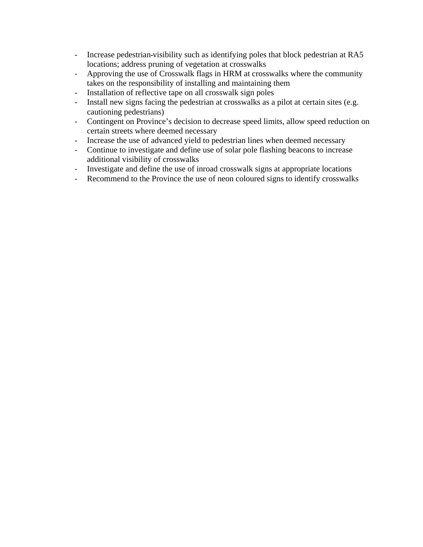- Increase pedestrian-visibility such as identifying poles that block pedestrian at RA5 locations; address pruning of vegetation at crosswalks
- Approving the use of Crosswalk flags in HRM at crosswalks where the community takes on the responsibility of installing and maintaining them
- Installation of reflective tape on all crosswalk sign poles
- Install new signs facing the pedestrian at crosswalks as a pilot at certain sites (e.g. cautioning pedestrians)
- Contingent on Province's decision to decrease speed limits, allow speed reduction on certain streets where deemed necessary
- Increase the use of advanced yield to pedestrian lines when deemed necessary
- Continue to investigate and define use of solar pole flashing beacons to increase additional visibility of crosswalks
- Investigate and define the use of inroad crosswalk signs at appropriate locations
- Recommend to the Province the use of neon coloured signs to identify crosswalks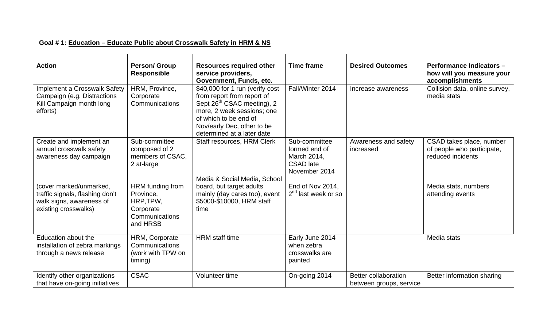# **Goal # 1: Education – Educate Public about Crosswalk Safety in HRM & NS**

| <b>Action</b>                                                                                                  | <b>Person/ Group</b><br><b>Responsible</b>                                            | <b>Resources required other</b><br>service providers,<br>Government, Funds, etc.                                                                                                                                           | <b>Time frame</b>                                                                  | <b>Desired Outcomes</b>                         | <b>Performance Indicators -</b><br>how will you measure your<br>accomplishments |
|----------------------------------------------------------------------------------------------------------------|---------------------------------------------------------------------------------------|----------------------------------------------------------------------------------------------------------------------------------------------------------------------------------------------------------------------------|------------------------------------------------------------------------------------|-------------------------------------------------|---------------------------------------------------------------------------------|
| Implement a Crosswalk Safety<br>Campaign (e.g. Distractions<br>Kill Campaign month long<br>efforts)            | HRM, Province,<br>Corporate<br>Communications                                         | \$40,000 for 1 run (verify cost<br>from report from report of<br>Sept 26 <sup>th</sup> CSAC meeting), 2<br>more, 2 week sessions; one<br>of which to be end of<br>Nov/early Dec, other to be<br>determined at a later date | Fall/Winter 2014                                                                   | Increase awareness                              | Collision data, online survey,<br>media stats                                   |
| Create and implement an<br>annual crosswalk safety<br>awareness day campaign                                   | Sub-committee<br>composed of 2<br>members of CSAC,<br>2 at-large                      | Staff resources, HRM Clerk<br>Media & Social Media, School                                                                                                                                                                 | Sub-committee<br>formed end of<br>March 2014,<br><b>CSAD</b> late<br>November 2014 | Awareness and safety<br>increased               | CSAD takes place, number<br>of people who participate,<br>reduced incidents     |
| (cover marked/unmarked,<br>traffic signals, flashing don't<br>walk signs, awareness of<br>existing crosswalks) | HRM funding from<br>Province,<br>HRP, TPW,<br>Corporate<br>Communications<br>and HRSB | board, but target adults<br>mainly (day cares too), event<br>\$5000-\$10000, HRM staff<br>time                                                                                                                             | End of Nov 2014,<br>2 <sup>nd</sup> last week or so                                |                                                 | Media stats, numbers<br>attending events                                        |
| Education about the<br>installation of zebra markings<br>through a news release                                | HRM, Corporate<br>Communications<br>(work with TPW on<br>timing)                      | <b>HRM</b> staff time                                                                                                                                                                                                      | Early June 2014<br>when zebra<br>crosswalks are<br>painted                         |                                                 | Media stats                                                                     |
| Identify other organizations<br>that have on-going initiatives                                                 | <b>CSAC</b>                                                                           | Volunteer time                                                                                                                                                                                                             | On-going 2014                                                                      | Better collaboration<br>between groups, service | Better information sharing                                                      |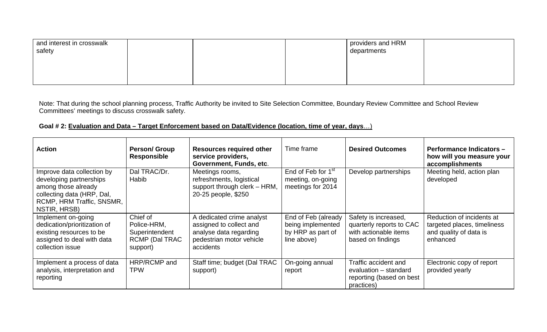| and interest in crosswalk<br>safety |  | providers and HRM<br>departments |  |
|-------------------------------------|--|----------------------------------|--|
|                                     |  |                                  |  |
|                                     |  |                                  |  |

Note: That during the school planning process, Traffic Authority be invited to Site Selection Committee, Boundary Review Committee and School Review Committees' meetings to discuss crosswalk safety.

# **Goal # 2: Evaluation and Data – Target Enforcement based on Data/Evidence (location, time of year, days**…)

| <b>Action</b>                                                                                                                                           | <b>Person/ Group</b><br><b>Responsible</b>                              | <b>Resources required other</b><br>service providers,<br>Government, Funds, etc.                                        | Time frame                                                                   | <b>Desired Outcomes</b>                                                                        | <b>Performance Indicators -</b><br>how will you measure your<br>accomplishments                |
|---------------------------------------------------------------------------------------------------------------------------------------------------------|-------------------------------------------------------------------------|-------------------------------------------------------------------------------------------------------------------------|------------------------------------------------------------------------------|------------------------------------------------------------------------------------------------|------------------------------------------------------------------------------------------------|
| Improve data collection by<br>developing partnerships<br>among those already<br>collecting data (HRP, Dal,<br>RCMP, HRM Traffic, SNSMR,<br>NSTIR, HRSB) | Dal TRAC/Dr.<br>Habib                                                   | Meetings rooms,<br>refreshments, logistical<br>support through clerk - HRM,<br>20-25 people, \$250                      | End of Feb for 1 <sup>st</sup><br>meeting, on-going<br>meetings for 2014     | Develop partnerships                                                                           | Meeting held, action plan<br>developed                                                         |
| Implement on-going<br>dedication/prioritization of<br>existing resources to be<br>assigned to deal with data<br>collection issue                        | Chief of<br>Police-HRM,<br>Superintendent<br>RCMP (Dal TRAC<br>support) | A dedicated crime analyst<br>assigned to collect and<br>analyse data regarding<br>pedestrian motor vehicle<br>accidents | End of Feb (already<br>being implemented<br>by HRP as part of<br>line above) | Safety is increased,<br>quarterly reports to CAC<br>with actionable items<br>based on findings | Reduction of incidents at<br>targeted places, timeliness<br>and quality of data is<br>enhanced |
| Implement a process of data<br>analysis, interpretation and<br>reporting                                                                                | HRP/RCMP and<br><b>TPW</b>                                              | Staff time; budget (Dal TRAC<br>support)                                                                                | On-going annual<br>report                                                    | Traffic accident and<br>evaluation - standard<br>reporting (based on best<br>practices)        | Electronic copy of report<br>provided yearly                                                   |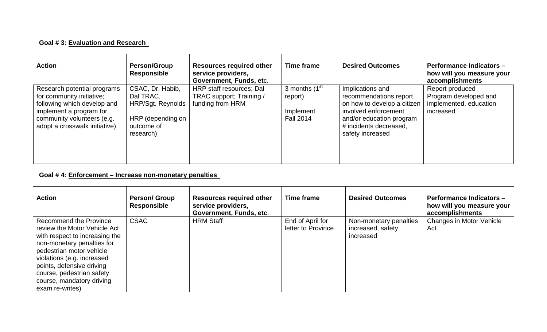# **Goal # 3: Evaluation and Research**

| <b>Action</b>                                                                                                                                                                     | <b>Person/Group</b><br>Responsible                                                                 | <b>Resources required other</b><br>service providers,<br>Government, Funds, etc. | <b>Time frame</b>                                                       | <b>Desired Outcomes</b>                                                                                                                                                     | <b>Performance Indicators -</b><br>how will you measure your<br>accomplishments |
|-----------------------------------------------------------------------------------------------------------------------------------------------------------------------------------|----------------------------------------------------------------------------------------------------|----------------------------------------------------------------------------------|-------------------------------------------------------------------------|-----------------------------------------------------------------------------------------------------------------------------------------------------------------------------|---------------------------------------------------------------------------------|
| Research potential programs<br>for community initiative;<br>following which develop and<br>implement a program for<br>community volunteers (e.g.<br>adopt a crosswalk initiative) | CSAC, Dr. Habib,<br>Dal TRAC,<br>HRP/Sgt. Reynolds<br>HRP (depending on<br>outcome of<br>research) | HRP staff resources; Dal<br>TRAC support; Training /<br>funding from HRM         | 3 months (1 <sup>st</sup> )<br>report)<br>Implement<br><b>Fall 2014</b> | Implications and<br>recommendations report<br>on how to develop a citizen<br>involved enforcement<br>and/or education program<br># incidents decreased,<br>safety increased | Report produced<br>Program developed and<br>implemented, education<br>increased |

### **Goal # 4: Enforcement – Increase non-monetary penalties**

| <b>Action</b>                                                                                                                                                                                                                                                                                     | <b>Person/ Group</b><br><b>Responsible</b> | <b>Resources required other</b><br>service providers,<br>Government, Funds, etc. | Time frame                             | <b>Desired Outcomes</b>                                  | <b>Performance Indicators -</b><br>how will you measure your<br>accomplishments |
|---------------------------------------------------------------------------------------------------------------------------------------------------------------------------------------------------------------------------------------------------------------------------------------------------|--------------------------------------------|----------------------------------------------------------------------------------|----------------------------------------|----------------------------------------------------------|---------------------------------------------------------------------------------|
| <b>Recommend the Province</b><br>review the Motor Vehicle Act<br>with respect to increasing the<br>non-monetary penalties for<br>pedestrian motor vehicle<br>violations (e.g. increased<br>points, defensive driving<br>course, pedestrian safety<br>course, mandatory driving<br>exam re-writes) | <b>CSAC</b>                                | <b>HRM Staff</b>                                                                 | End of April for<br>letter to Province | Non-monetary penalties<br>increased, safety<br>increased | Changes in Motor Vehicle<br>Act                                                 |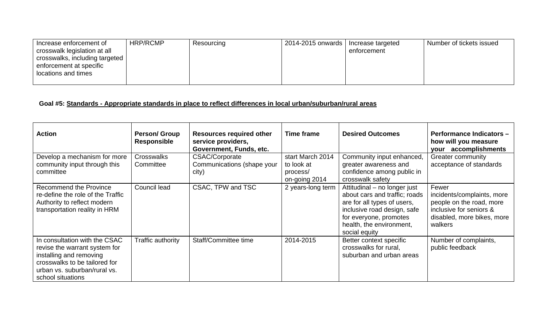| Increase enforcement of        | HRP/RCMP | Resourcing | 2014-2015 onwards | Increase targeted | Number of tickets issued |
|--------------------------------|----------|------------|-------------------|-------------------|--------------------------|
| crosswalk legislation at all   |          |            |                   | enforcement       |                          |
| crosswalks, including targeted |          |            |                   |                   |                          |
| enforcement at specific        |          |            |                   |                   |                          |
| locations and times            |          |            |                   |                   |                          |
|                                |          |            |                   |                   |                          |

# **Goal #5: Standards - Appropriate standards in place to reflect differences in local urban/suburban/rural areas**

| <b>Action</b>                                                                                                                                                                   | <b>Person/ Group</b><br><b>Responsible</b> | <b>Resources required other</b><br>service providers,<br>Government, Funds, etc. | <b>Time frame</b>                                           | <b>Desired Outcomes</b>                                                                                                                                                                            | <b>Performance Indicators -</b><br>how will you measure<br>accomplishments<br>your                                                  |
|---------------------------------------------------------------------------------------------------------------------------------------------------------------------------------|--------------------------------------------|----------------------------------------------------------------------------------|-------------------------------------------------------------|----------------------------------------------------------------------------------------------------------------------------------------------------------------------------------------------------|-------------------------------------------------------------------------------------------------------------------------------------|
| Develop a mechanism for more<br>community input through this<br>committee                                                                                                       | <b>Crosswalks</b><br>Committee             | <b>CSAC/Corporate</b><br>Communications (shape your<br>city)                     | start March 2014<br>to look at<br>process/<br>on-going 2014 | Community input enhanced,<br>greater awareness and<br>confidence among public in<br>crosswalk safety                                                                                               | Greater community<br>acceptance of standards                                                                                        |
| Recommend the Province<br>re-define the role of the Traffic<br>Authority to reflect modern<br>transportation reality in HRM                                                     | Council lead                               | CSAC, TPW and TSC                                                                | 2 years-long term                                           | Attitudinal - no longer just<br>about cars and traffic; roads<br>are for all types of users,<br>inclusive road design, safe<br>for everyone, promotes<br>health, the environment,<br>social equity | Fewer<br>incidents/complaints, more<br>people on the road, more<br>inclusive for seniors &<br>disabled, more bikes, more<br>walkers |
| In consultation with the CSAC<br>revise the warrant system for<br>installing and removing<br>crosswalks to be tailored for<br>urban vs. suburban/rural vs.<br>school situations | Traffic authority                          | Staff/Committee time                                                             | 2014-2015                                                   | Better context specific<br>crosswalks for rural,<br>suburban and urban areas                                                                                                                       | Number of complaints,<br>public feedback                                                                                            |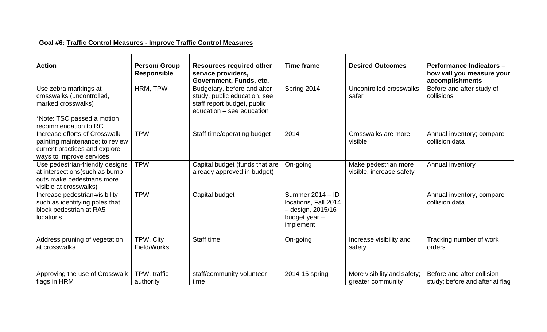# **Goal #6: Traffic Control Measures - Improve Traffic Control Measures**

| <b>Action</b>                                                                                                                 | <b>Person/ Group</b><br><b>Responsible</b> | <b>Resources required other</b><br>service providers,<br>Government, Funds, etc.                                        | <b>Time frame</b>                                                                               | <b>Desired Outcomes</b>                          | <b>Performance Indicators -</b><br>how will you measure your<br>accomplishments |
|-------------------------------------------------------------------------------------------------------------------------------|--------------------------------------------|-------------------------------------------------------------------------------------------------------------------------|-------------------------------------------------------------------------------------------------|--------------------------------------------------|---------------------------------------------------------------------------------|
| Use zebra markings at<br>crosswalks (uncontrolled,<br>marked crosswalks)<br>*Note: TSC passed a motion                        | HRM, TPW                                   | Budgetary, before and after<br>study, public education, see<br>staff report budget, public<br>education - see education | Spring 2014                                                                                     | Uncontrolled crosswalks<br>safer                 | Before and after study of<br>collisions                                         |
| recommendation to RC                                                                                                          |                                            |                                                                                                                         |                                                                                                 |                                                  |                                                                                 |
| Increase efforts of Crosswalk<br>painting maintenance; to review<br>current practices and explore<br>ways to improve services | <b>TPW</b>                                 | Staff time/operating budget                                                                                             | 2014                                                                                            | Crosswalks are more<br>visible                   | Annual inventory; compare<br>collision data                                     |
| Use pedestrian-friendly designs<br>at intersections (such as bump<br>outs make pedestrians more<br>visible at crosswalks)     | <b>TPW</b>                                 | Capital budget (funds that are<br>already approved in budget)                                                           | On-going                                                                                        | Make pedestrian more<br>visible, increase safety | Annual inventory                                                                |
| Increase pedestrian-visibility<br>such as identifying poles that<br>block pedestrian at RA5<br>locations                      | <b>TPW</b>                                 | Capital budget                                                                                                          | Summer 2014 - ID<br>locations, Fall 2014<br>$-$ design, 2015/16<br>budget year $-$<br>implement |                                                  | Annual inventory, compare<br>collision data                                     |
| Address pruning of vegetation<br>at crosswalks                                                                                | TPW, City<br>Field/Works                   | Staff time                                                                                                              | On-going                                                                                        | Increase visibility and<br>safety                | Tracking number of work<br>orders                                               |
| Approving the use of Crosswalk<br>flags in HRM                                                                                | TPW, traffic<br>authority                  | staff/community volunteer<br>time                                                                                       | 2014-15 spring                                                                                  | More visibility and safety;<br>greater community | Before and after collision<br>study; before and after at flag                   |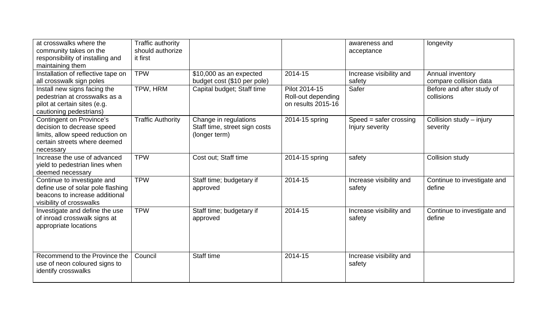| at crosswalks where the<br>community takes on the<br>responsibility of installing and<br>maintaining them                                      | Traffic authority<br>should authorize<br>it first |                                                                         |                                                           | awareness and<br>acceptance                 | longevity                                  |
|------------------------------------------------------------------------------------------------------------------------------------------------|---------------------------------------------------|-------------------------------------------------------------------------|-----------------------------------------------------------|---------------------------------------------|--------------------------------------------|
| Installation of reflective tape on<br>all crosswalk sign poles                                                                                 | <b>TPW</b>                                        | \$10,000 as an expected<br>budget cost (\$10 per pole)                  | 2014-15                                                   | Increase visibility and<br>safety           | Annual inventory<br>compare collision data |
| Install new signs facing the<br>pedestrian at crosswalks as a<br>pilot at certain sites (e.g.<br>cautioning pedestrians)                       | TPW, HRM                                          | Capital budget; Staff time                                              | Pilot 2014-15<br>Roll-out depending<br>on results 2015-16 | Safer                                       | Before and after study of<br>collisions    |
| <b>Contingent on Province's</b><br>decision to decrease speed<br>limits, allow speed reduction on<br>certain streets where deemed<br>necessary | <b>Traffic Authority</b>                          | Change in regulations<br>Staff time, street sign costs<br>(longer term) | 2014-15 spring                                            | $Speed = safer crossing$<br>Injury severity | Collision study - injury<br>severity       |
| Increase the use of advanced<br>yield to pedestrian lines when<br>deemed necessary                                                             | <b>TPW</b>                                        | Cost out; Staff time                                                    | 2014-15 spring                                            | safety                                      | <b>Collision study</b>                     |
| Continue to investigate and<br>define use of solar pole flashing<br>beacons to increase additional<br>visibility of crosswalks                 | <b>TPW</b>                                        | Staff time; budgetary if<br>approved                                    | 2014-15                                                   | Increase visibility and<br>safety           | Continue to investigate and<br>define      |
| Investigate and define the use<br>of inroad crosswalk signs at<br>appropriate locations                                                        | <b>TPW</b>                                        | Staff time; budgetary if<br>approved                                    | 2014-15                                                   | Increase visibility and<br>safety           | Continue to investigate and<br>define      |
| Recommend to the Province the<br>use of neon coloured signs to<br>identify crosswalks                                                          | Council                                           | <b>Staff time</b>                                                       | 2014-15                                                   | Increase visibility and<br>safety           |                                            |